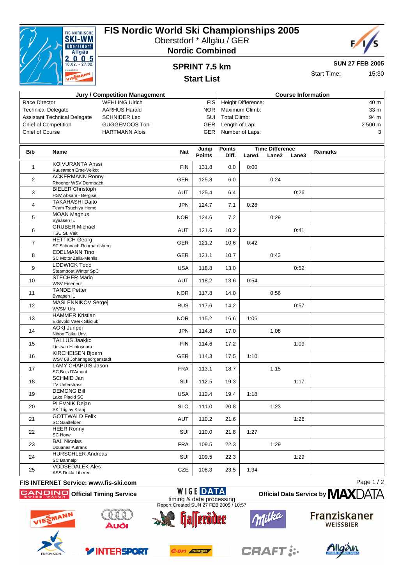

Race Director

## **FIS Nordic World Ski Championships 2005**

Oberstdorf \* Allgäu / GER





**SUN 27 FEB 2005**

15:30

# **SPRINT 7.5 km**

| <b>Start Time:</b> |  |
|--------------------|--|
|                    |  |

| MAN <sub>I</sub> |                                      | <b>Start List</b> |                           | <b>ULCHLILILUS.</b> |                 |  |
|------------------|--------------------------------------|-------------------|---------------------------|---------------------|-----------------|--|
|                  | <b>Jury / Competition Management</b> |                   | <b>Course Information</b> |                     |                 |  |
|                  | <b>WEHLING Ulrich</b>                | FIS I             | Height Difference:        |                     | 40 m            |  |
|                  | <b>AARHUS Harald</b>                 | NOR.              | Maximum Climb:            |                     | 33 <sub>m</sub> |  |
| مtenale          | $SCHNIDFR$ Leo                       |                   | SHI Total Climb:          |                     | $94 \text{ m}$  |  |

| <b>Technical Delegate</b> |                                                       | <b>AARHUS Harald</b>  |            | <b>NOR</b>            |                        | Maximum Climb:  |                                 |       |                | 33 m     |
|---------------------------|-------------------------------------------------------|-----------------------|------------|-----------------------|------------------------|-----------------|---------------------------------|-------|----------------|----------|
|                           | <b>Assistant Technical Delegate</b>                   | <b>SCHNIDER Leo</b>   |            | SUI                   | <b>Total Climb:</b>    |                 |                                 |       |                | 94 m     |
|                           | <b>Chief of Competition</b>                           | <b>GUGGEMOOS Toni</b> |            | GER                   | Length of Lap:         |                 |                                 |       |                | 2 500 m  |
| Chief of Course           |                                                       | <b>HARTMANN Alois</b> |            | <b>GER</b>            |                        | Number of Laps: |                                 |       |                | 3        |
|                           |                                                       |                       |            |                       |                        |                 |                                 |       |                |          |
| Bib                       | Name                                                  |                       | <b>Nat</b> | Jump<br><b>Points</b> | <b>Points</b><br>Diff. | Lane1           | <b>Time Difference</b><br>Lane2 | Lane3 | <b>Remarks</b> |          |
| $\mathbf{1}$              | <b>KOIVURANTA Anssi</b>                               |                       | <b>FIN</b> | 131.8                 | 0.0                    | 0:00            |                                 |       |                |          |
| $\overline{2}$            | Kuusamon Erae-Veikot<br><b>ACKERMANN Ronny</b>        |                       | GER        | 125.8                 | 6.0                    |                 | 0:24                            |       |                |          |
| 3                         | Rhoener WSV Dermbach<br><b>BIELER Christoph</b>       |                       | AUT        | 125.4                 | 6.4                    |                 |                                 | 0:26  |                |          |
|                           | HSV Absam - Bergisel<br><b>TAKAHASHI Daito</b>        |                       |            |                       |                        |                 |                                 |       |                |          |
| 4                         | Team Tsuchiya Home                                    |                       | <b>JPN</b> | 124.7                 | 7.1                    | 0:28            |                                 |       |                |          |
| 5                         | <b>MOAN Magnus</b><br>Byaasen IL                      |                       | <b>NOR</b> | 124.6                 | 7.2                    |                 | 0:29                            |       |                |          |
| 6                         | <b>GRUBER Michael</b><br>TSU St. Veit                 |                       | <b>AUT</b> | 121.6                 | 10.2                   |                 |                                 | 0:41  |                |          |
| $\overline{7}$            | <b>HETTICH Georg</b><br>ST Schonach-Rohrhardsberg     |                       | GER        | 121.2                 | 10.6                   | 0:42            |                                 |       |                |          |
| 8                         | <b>EDELMANN Tino</b><br>SC Motor Zella-Mehlis         |                       | GER        | 121.1                 | 10.7                   |                 | 0:43                            |       |                |          |
| 9                         | <b>LODWICK Todd</b>                                   |                       | <b>USA</b> | 118.8                 | 13.0                   |                 |                                 | 0:52  |                |          |
| 10                        | Steamboat Winter SpC<br><b>STECHER Mario</b>          |                       | <b>AUT</b> | 118.2                 | 13.6                   | 0:54            |                                 |       |                |          |
|                           | <b>WSV Eisenerz</b><br><b>TANDE Petter</b>            |                       |            |                       |                        |                 |                                 |       |                |          |
| 11                        | Byaasen IL<br>MASLENNIKOV Sergej                      |                       | <b>NOR</b> | 117.8                 | 14.0                   |                 | 0:56                            |       |                |          |
| 12                        | WVSM Ufa                                              |                       | <b>RUS</b> | 117.6                 | 14.2                   |                 |                                 | 0:57  |                |          |
| 13                        | <b>HAMMER Kristian</b><br>Eidsvold Vaerk Skiclub      |                       | <b>NOR</b> | 115.2                 | 16.6                   | 1:06            |                                 |       |                |          |
| 14                        | AOKI Junpei<br>Nihon Taiku Unv.                       |                       | <b>JPN</b> | 114.8                 | 17.0                   |                 | 1:08                            |       |                |          |
| 15                        | <b>TALLUS Jaakko</b><br>Lieksan Hiihtoseura           |                       | <b>FIN</b> | 114.6                 | 17.2                   |                 |                                 | 1:09  |                |          |
| 16                        | <b>KIRCHEISEN Bjoern</b><br>WSV 08 Johanngeorgenstadt |                       | GER        | 114.3                 | 17.5                   | 1:10            |                                 |       |                |          |
| 17                        | LAMY CHAPUIS Jason<br>SC Bois D'Amont                 |                       | <b>FRA</b> | 113.1                 | 18.7                   |                 | 1:15                            |       |                |          |
| 18                        | SCHMID Jan                                            |                       | SUI        | 112.5                 | 19.3                   |                 |                                 | 1:17  |                |          |
| 19                        | <b>TV Unterstrass</b><br><b>DEMONG Bill</b>           |                       | <b>USA</b> | 112.4                 | 19.4                   | 1:18            |                                 |       |                |          |
|                           | Lake Placid SC<br>PLEVNIK Dejan                       |                       |            |                       |                        |                 |                                 |       |                |          |
| 20                        | SK Triglav Kranj<br><b>GOTTWALD Felix</b>             |                       | <b>SLO</b> | 111.0                 | 20.8                   |                 | 1:23                            |       |                |          |
| 21                        | SC Saalfelden                                         |                       | AUT        | 110.2                 | 21.6                   |                 |                                 | 1:26  |                |          |
| 22                        | <b>HEER Ronny</b><br>SC Horw                          |                       | SUI        | 110.0                 | 21.8                   | 1:27            |                                 |       |                |          |
| 23                        | <b>BAL Nicolas</b><br>Douanes Autrans                 |                       | <b>FRA</b> | 109.5                 | 22.3                   |                 | 1:29                            |       |                |          |
| 24                        | <b>HURSCHLER Andreas</b><br>SC Bannalp                |                       | SUI        | 109.5                 | 22.3                   |                 |                                 | 1:29  |                |          |
| 25                        | <b>VODSEDALEK Ales</b><br>ASS Dukla Liberec           |                       | CZE        | 108.3                 | 23.5                   | 1:34            |                                 |       |                |          |
|                           | FIS INTERNET Service: www.fis-ski.com                 |                       |            |                       |                        |                 |                                 |       |                | Page 1/2 |

### **FIS INTERNET Service: www.fis-ski.com**

**Official Timing Service**

**WIGE DATA** timing & data processing Report Created SUN 27 FEB 2005 / 10:57







**YINTERSPORT** 



e.on ruhrgas





**CRAFT:**